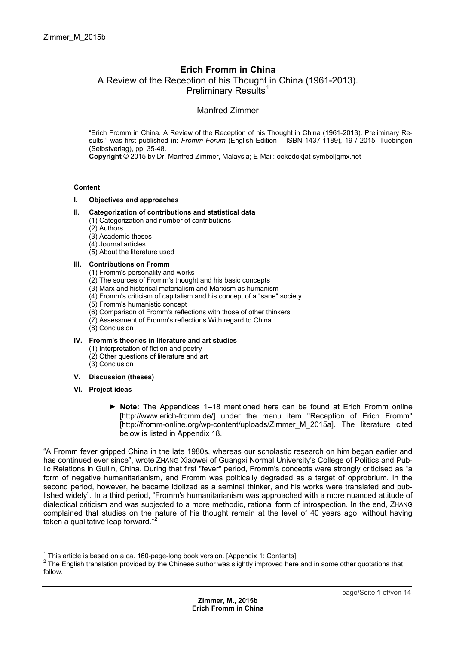# **Erich Fromm in China**  A Review of the Reception of his Thought in China (1961-2013). Preliminary Results<sup>1</sup>

## Manfred Zimmer

"Erich Fromm in China. A Review of the Reception of his [Th](#page-0-0)ought in China (1961-2013). Preliminary Results," was first published in: *Fromm Forum* (English Edition – ISBN 1437-1189), 19 / 2015, Tuebingen (Selbstverlag), pp. 35-48.

**Copyright** © 2015 by Dr. Manfred Zimmer, Malaysia; E-Mail: oekodok[at-symbol]gmx.net

#### **Content**

**I. Objectives and approaches** 

## **II. Categorization of contributions and statistical data**

- (1) Categorization and number of contributions
- (2) Authors
- (3) Academic theses
- (4) Journal articles
- (5) About the literature used

#### **III. Contributions on Fromm**

- (1) Fromm's personality and works
- (2) The sources of Fromm's thought and his basic concepts
- (3) Marx and historical materialism and Marxism as humanism
- (4) Fromm's criticism of capitalism and his concept of a "sane" society
- (5) Fromm's humanistic concept
- (6) Comparison of Fromm's reflections with those of other thinkers
- (7) Assessment of Fromm's reflections With regard to China
- (8) Conclusion

### **IV. Fromm's theories in literature and art studies**

- (1) Interpretation of fiction and poetry
- (2) Other questions of literature and art
- (3) Conclusion
- **V. Discussion (theses)**
- **VI. Project ideas** 
	- ► **Note:** The Appendices 1–18 mentioned here can be found at Erich Fromm online [http://www.erich-fromm.de/] under the menu item "Reception of Erich Fromm" [http://fromm-online.org/wp-content/uploads/Zimmer\_M\_2015a]. The literature cited below is listed in Appendix 18.

"A Fromm fever gripped China in the late 1980s, whereas our scholastic research on him began earlier and has continued ever since", wrote ZHANG Xiaowei of Guangxi Normal University's College of Politics and Public Relations in Guilin, China. During that first "fever" period, Fromm's concepts were strongly criticised as "a form of negative humanitarianism, and Fromm was politically degraded as a target of opprobrium. In the second period, however, he became idolized as a seminal thinker, and his works were translated and published widely". In a third period, "Fromm's humanitarianism was approached with a more nuanced attitude of dialectical criticism and was subjected to a more methodic, rational form of introspection. In the end, ZHANG complained that studies on the nature of his thought remain at the level of 40 years ago, without having taken a qualitative leap forward."<sup>2</sup>

<sup>&</sup>lt;sup>1</sup> This article is based on a ca. 160-[pa](#page-0-1)ge-long book version. [Appendix 1: Contents].<br><sup>2</sup> The English translation provided by the Chinese suther was elightly improved bere

<span id="page-0-1"></span><span id="page-0-0"></span><sup>&</sup>lt;sup>2</sup> The English translation provided by the Chinese author was slightly improved here and in some other quotations that follow.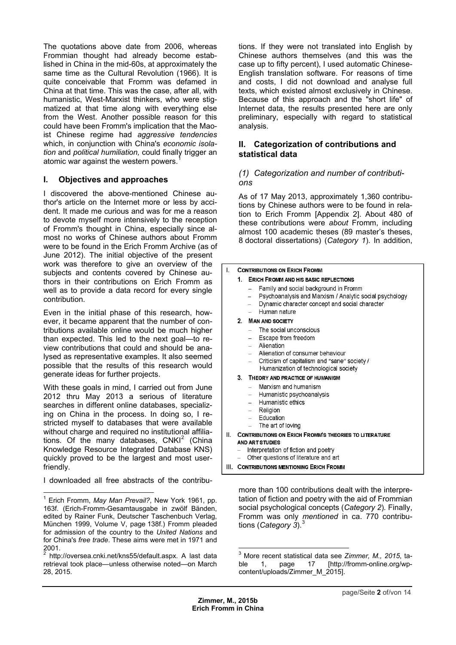The quotations above date from 2006, whereas Frommian thought had already become established in China in the mid-60s, at approximately the same time as the Cultural Revolution (1966). It is quite conceivable that Fromm was defamed in China at that time. This was the case, after all, with humanistic, West-Marxist thinkers, who were stigmatized at that time along with everything else from the West. Another possible reason for this could have been Fromm's implication that the Maoist Chinese regime had *aggressive tendencies* which, in conjunction with China's *economic isolation* and *political humiliation,* could finally trigger an atomic war against the western powers.

## **I. Objectives and approaches**

I discovered the above-mentioned C[h](#page-1-0)inese author's article on the Internet more or less by accident. It made me curious and was for me a reason to devote myself more intensively to the reception of Fromm's thought in China, especially since almost no works of Chinese authors about Fromm were to be found in the Erich Fromm Archive (as of June 2012). The initial objective of the present work was therefore to give an overview of the subjects and contents covered by Chinese authors in their contributions on Erich Fromm as well as to provide a data record for every single contribution.

Even in the initial phase of this research, however, it became apparent that the number of contributions available online would be much higher than expected. This led to the next goal—to review contributions that could and should be analysed as representative examples. It also seemed possible that the results of this research would generate ideas for further projects.

With these goals in mind, I carried out from June 2012 thru May 2013 a serious of literature searches in different online databases, specializing on China in the process. In doing so, I restricted myself to databases that were available without charge and required no institutional affiliations. Of the many databases,  $CNKI<sup>2</sup>$  (China Knowledge Resource Integrated Database KNS) quickly proved to be the largest and most userfriendly.

I downloaded all free abstracts of the [c](#page-1-1)ontribu-

 $\overline{a}$ 

tions. If they were not translated into English by Chinese authors themselves (and this was the case up to fifty percent), I used automatic Chinese-English translation software. For reasons of time and costs, I did not download and analyse full texts, which existed almost exclusively in Chinese. Because of this approach and the "short life" of Internet data, the results presented here are only preliminary, especially with regard to statistical analysis.

## **II. Categorization of contributions and statistical data**

## *(1) Categorization and number of contributions*

As of 17 May 2013, approximately 1,360 contributions by Chinese authors were to be found in relation to Erich Fromm [Appendix 2]. About 480 of these contributions were *about* Fromm, including almost 100 academic theses (89 master's theses, 8 doctoral dissertations) (*Category 1*). In addition,

#### L **CONTRIBUTIONS ON ERICH FROMM**

#### 1. ERICH FROMM AND HIS BASIC REFLECTIONS

- Family and social background in Fromm
- Psychoanalysis and Marxism / Analytic social psychology
- Dynamic character concept and social character
- Human nature

#### 2. MAN AND SOCIETY

- The social unconscious
- Escape from freedom
- Alienation
- Alienation of consumer behaviour
- Criticism of capitalism and "sane" society /
- Humanization of technological society

#### 3. THEORY AND PRACTICE OF HUMANISM

- Marxism and humanism
- Humanistic psychoanalysis
- Humanistic ethics
- Religion
- Education
- The art of loving
- II. CONTRIBUTIONS ON ERICH FROMM'S THEORIES TO LITERATURE AND ART STUDIES
	- Interpretation of fiction and poetry
	- Other questions of literature and art

III. CONTRIBUTIONS MENTIONING ERICH FROMM

more than 100 contributions dealt with the interpretation of fiction and poetry with the aid of Frommian social psychological concepts (*Category 2*)*.* Finally, Fromm was only *mentioned* in ca. 770 contributions (*Category 3*).<sup>3</sup>

<sup>1</sup> Erich Fromm, *May Man Prevail?*, New York 1961, pp. 163f. (Erich-Fromm-Gesamtausgabe in zwölf Bänden, edited by Rainer Funk, Deutscher Taschenbuch Verlag, München 1999, Volume V, page 138f.) Fromm pleaded for admission of the country to the *United Nations* and for China's *free trade*. These aims were met in 1971 and 2001.

<span id="page-1-1"></span><span id="page-1-0"></span><sup>2</sup> http://oversea.cnki.net/kns55/default.aspx. A last data retrieval took place—unless otherwise noted—on March 28, 2015.

 3 More recent statistical data see *Zimmer, M., 2015*, table 1, page 17 [http://fromm-online.org/wpcontent/uploads/Zimmer\_M\_2015].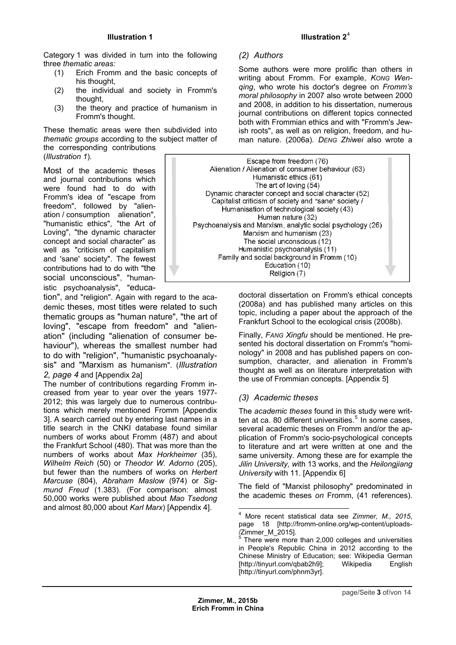Category 1 was divided in turn into the following three *thematic areas:* 

- (1) Erich Fromm and the basic concepts of his thought,
- (2) the individual and society in Fromm's thought,
- (3) the theory and practice of humanism in Fromm's thought.

These thematic areas were then subdivided into *thematic groups* according to the subject matter of the corresponding contributions

(*Illustration 1*)*.* 

Most of the academic theses and journal contributions which were found had to do with Fromm's idea of "escape from freedom", followed by "alienation / consumption alienation", "humanistic ethics", "the Art of Loving", "the dynamic character concept and social character" as well as "criticism of capitalism and 'sane' society". The fewest contributions had to do with "the social unconscious", "humanistic psychoanalysis", "educa-

tion", and "religion". Again with regard to the academic theses, most titles were related to such thematic groups as "human nature", "the art of loving", "escape from freedom" and "alienation" (including "alienation of consumer behaviour"), whereas the smallest number had to do with "religion", "humanistic psychoanalysis" and "Marxism as humanism". (*Illustration 2, page 4* and [Appendix 2a]

<span id="page-2-1"></span><span id="page-2-0"></span>The number of contributions regarding Fromm increased from year to year over the years 1977- 2012; this was largely due to numerous contributions which merely mentioned Fromm [Appendix 3]. A search carried out by entering last names in a title search in the CNKI database found similar numbers of works about Fromm (487) and about the Frankfurt School (480). That was more than the numbers of works about *Max Horkheimer* (35), *Wilhelm Reich* (50) or *Theodor W. Adorno* (205), but fewer than the numbers of works on *Herbert Marcuse* (804), *Abraham Maslow* (974) or *Sigmund Freud* (1.383). (For comparison: almost 50,000 works were published about *Mao Tsedong*  and almost 80,000 about *Karl Marx*) [Appendix 4].

# **Illustration 2**<sup>4</sup>

# *(2) Authors*

Some authors were more pro[lifi](#page-2-0)c than others in writing about Fromm. For example, *KONG Wenqing*, who wrote his doctor's degree on *Fromm's moral philosophy* in 2007 also wrote between 2000 and 2008, in addition to his dissertation, numerous journal contributions on different topics connected both with Frommian ethics and with "Fromm's Jewish roots", as well as on religion, freedom, and human nature. (2006a). *DENG Zhiwei* also wrote a



doctoral dissertation on Fromm's ethical concepts (2008a) and has published many articles on this topic, including a paper about the approach of the Frankfurt School to the ecological crisis (2008b).

Finally, *FANG Xingfu* should be mentioned. He presented his doctoral dissertation on Fromm's "hominology" in 2008 and has published papers on consumption, character, and alienation in Fromm's thought as well as on literature interpretation with the use of Frommian concepts. [Appendix 5]

## *(3) Academic theses*

The *academic theses* found in this study were written at ca. 80 different universities.<sup>5</sup> In some cases, several academic theses on Fromm and/or the application of Fromm's socio-psychological concepts to literature and art were written at one and the same university. Among these ar[e](#page-2-1) for example the *Jilin University, w*ith 13 works, and the *Heilongjiang University* with 11. [Appendix 6]

The field of "Marxist philosophy" predominated in the academic theses *on* Fromm, (41 references).

 4 More recent statistical data see *Zimmer, M., 2015*, page 18 [http://fromm-online.org/wp-content/uploads- /Zimmer\_M\_2015].

 $5$  There were more than 2,000 colleges and universities in People's Republic China in 2012 according to the Chinese Ministry of Education; see: Wikipedia German [http://tinyurl.com/qbab2h9]; Wikipedia English [http://tinyurl.com/phnm3yr].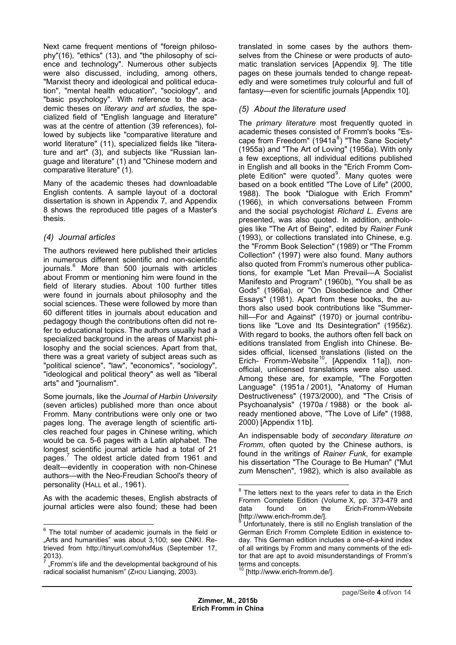Next came frequent mentions of "foreign philosophy"(16), "ethics" (13), and "the philosophy of science and technology". Numerous other subjects were also discussed, including, among others, "Marxist theory and ideological and political education", "mental health education", "sociology", and "basic psychology". With reference to the academic theses on *literary and art studies,* the specialized field of "English language and literature" was at the centre of attention (39 references), followed by subjects like "comparative literature and world literature" (11), specialized fields like "literature and art" (3), and subjects like "Russian language and literature" (1) and "Chinese modern and comparative literature" (1).

Many of the academic theses had downloadable English contents. A sample layout of a doctoral dissertation is shown in Appendix 7*,* and Appendix 8 shows the reproduced title pages of a Master's thesis.

# *(4) Journal articles*

The authors reviewed here published their articles in numerous different scientific and non-scientific journals.<sup>6</sup> More than 500 journals with articles about Fromm or mentioning him were found in the field of literary studies. About 100 further titles were found in journals about philosophy and the social s[cie](#page-3-0)nces. These were followed by more than 60 different titles in journals about education and pedagogy though the contributions often did not refer to educational topics. The authors usually had a specialized background in the areas of Marxist philosophy and the social sciences. Apart from that, there was a great variety of subject areas such as "political science", "law", "economics", "sociology", "ideological and political theory" as well as "liberal arts" and "journalism".

Some journals, like the *Journal of Harbin University* (seven articles) published more than once about Fromm. Many contributions were only one or two pages long. The average length of scientific articles reached four pages in Chinese writing, which would be ca. 5-6 pages with a Latin alphabet. The longest scientific journal article had a total of 21 pages.<sup>7</sup> The oldest article dated from 1961 and dealt—evidently in cooperation with non-Chinese authors—with the Neo-Freudian School's theory of personality (HALL et al., 1961).

As wit[h](#page-3-1) the academic theses, English abstracts of journal articles were also found; these had been translated in some cases by the authors themselves from the Chinese or were products of automatic translation services [Appendix 9]. The title pages on these journals tended to change repeatedly and were sometimes truly colourful and full of fantasy—even for scientific journals [Appendix 10].

# *(5) About the literature used*

The *primary literature* most frequently quoted in academic theses consisted of Fromm's books "Escape from Freedom" (1941a ${}^{8}$ ) "The Sane Society" (1955a) and "The Art of Loving" (1956a). With only a few exceptions, all individual editions published in English and all books in the "Erich Fromm Com-plete Edition" were quoted<sup>9</sup>[.](#page-3-2) Many quotes were based on a book entitled "The Love of Life" (2000, 1988). The book "Dialogue with Erich Fromm" (1966), in which conversations between Fromm and the social psychologist *[R](#page-3-3)ichard L. Evens* are presented, was also quoted. In addition, anthologies like "The Art of Being", edited by *Rainer Funk*  (1993), or collections translated into Chinese, e.g. the "Fromm Book Selection" (1989) or "The Fromm Collection" (1997) were also found. Many authors also quoted from Fromm's numerous other publications, for example "Let Man Prevail—A Socialist Manifesto and Program" (1960b), "You shall be as Gods" (1966a), or "On Disobedience and Other Essays" (1981). Apart from these books, the authors also used book contributions like "Summerhill-For and Against" (1970) or journal contributions like "Love and Its Desintegration" (1956z). With regard to books, the authors often fell back on editions translated from English into Chinese. Besides official, licensed translations (listed on the Erich- Fromm-Website<sup>10</sup>, [Appendix 11a]), nonofficial, unlicensed translations were also used. Among these are, for example, "The Forgotten Language" (1951a / 2001), "Anatomy of Human Destructiveness" (197[3/2](#page-3-4)000), and "The Crisis of Psychoanalysis" (1970a / 1988) or the book already mentioned above, "The Love of Life" (1988, 2000) [Appendix 11b].

An indispensable body of *secondary literature on Fromm*, often quoted by the Chinese authors, is found in the writings of *Rainer Funk*, for example his dissertation "The Courage to Be Human" ("Mut zum Menschen", 1982), which is also available as

[http://www.erich-fromm.de/].

<span id="page-3-2"></span>**EXECUTE 10**<br><sup>6</sup> The total number of academic journals in the field or "Arts and humanities" was about 3,100; see CNKI. Retrieved from http://tinyurl.com/ohxf4us (September 17, 2013).

<span id="page-3-4"></span><span id="page-3-3"></span><span id="page-3-1"></span><span id="page-3-0"></span><sup>7</sup> "Fromm's life and the developmental background of his radical socialist humanism" (ZHOU Lianqing, 2003).

  $8$  The letters next to the years refer to data in the Erich Fromm Complete Edition (Volume X, pp. 373-479 and data found on the Erich-Fromm-Website [http://www.erich-fromm.de/].<br><sup>9</sup> Unfortunately, there is atill n

Unfortunately, there is still no English translation of the German Erich Fromm Complete Edition in existence today. This German edition includes a one-of-a-kind index of all writings by Fromm and many comments of the editor that are apt to avoid misunderstandings of Fromm's terms and concepts.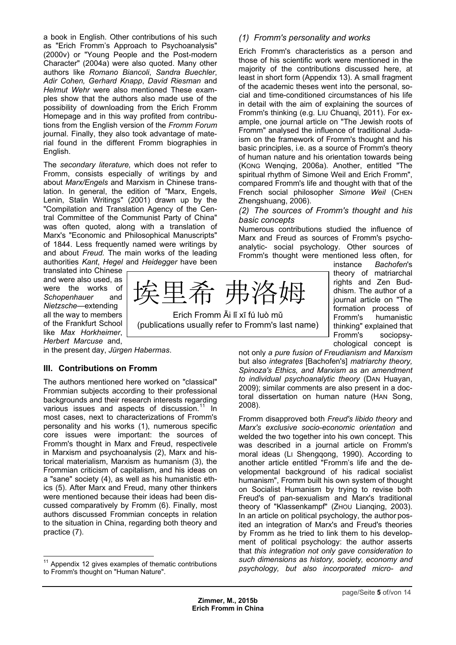a book in English. Other contributions of his such as "Erich Fromm's Approach to Psychoanalysis" (2000v) or "Young People and the Post-modern Character" (2004a) were also quoted. Many other authors like *Romano Biancoli*, *Sandra Buechler*, *Adir Cohen, Gerhard Knapp*, *David Riesman* and *Helmut Wehr* were also mentioned These examples show that the authors also made use of the possibility of downloading from the Erich Fromm Homepage and in this way profited from contributions from the English version of the *Fromm Forum*  journal. Finally, they also took advantage of material found in the different Fromm biographies in English.

The *secondary literature,* which does not refer to Fromm, consists especially of writings by and about *Marx/Engels* and Marxism in Chinese translation. In general, the edition of "Marx, Engels, Lenin, Stalin Writings" (2001) drawn up by the "Compilation and Translation Agency of the Central Committee of the Communist Party of China" was often quoted, along with a translation of Marx's "Economic and Philosophical Manuscripts" of 1844. Less frequently named were writings by and about *Freud.* The main works of the leading authorities *Kant*, *Hegel* and *Heidegger* have been

translated into Chinese and were also used, as were the works of *Schopenhauer* and *Nietzsche*—extending all the way to members of the Frankfurt School like *Max Horkheimer*, *Herbert Marcuse* and,

 $\overline{\phantom{a}}$ 

in the present day, *Jürgen Habermas*.

## **III. Contributions on Fromm**

The authors mentioned here worked on "classical" Frommian subjects according to their professional backgrounds and their research interests regarding various issues and aspects of discussion. $11$  In most cases, next to characterizations of Fromm's personality and his works (1), numerous specific core issues were important: the sources of Fromm's thought in Marx and Freud, respec[tiv](#page-4-0)ele in Marxism and psychoanalysis (2), Marx and historical materialism, Marxism as humanism (3), the Frommian criticism of capitalism, and his ideas on a "sane" society (4), as well as his humanistic ethics (5). After Marx and Freud, many other thinkers were mentioned because their ideas had been discussed comparatively by Fromm (6). Finally, most authors discussed Frommian concepts in relation to the situation in China, regarding both theory and practice (7).

#### *(1) Fromm's personality and works*

Erich Fromm's characteristics as a person and those of his scientific work were mentioned in the majority of the contributions discussed here, at least in short form (Appendix 13). A small fragment of the academic theses went into the personal, social and time-conditioned circumstances of his life in detail with the aim of explaining the sources of Fromm's thinking (e.g. LIU Chuanqi, 2011). For example, one journal article on "The Jewish roots of Fromm" analysed the influence of traditional Judaism on the framework of Fromm's thought and his basic principles, i.e. as a source of Fromm's theory of human nature and his orientation towards being (KONG Wenqing, 2006a). Another, entitled "The spiritual rhythm of Simone Weil and Erich Fromm", compared Fromm's life and thought with that of the French social philosopher *Simone Weil* (CHEN Zhengshuang, 2006).

*(2) The sources of Fromm's thought and his basic concepts* 

Numerous contributions studied the influence of Marx and Freud as sources of Fromm's psychoanalytic- social psychology. Other sources of Fromm's thought were mentioned less often, for

instance *Bachofen*'s theory of matriarchal rights and Zen Buddhism. The author of a journal article on "The formation process of Fromm's humanistic thinking" explained that Fromm's sociopsychological concept is

not only *a pure fusion of Freudianism and Marxism* but also *integrates* [Bachofen's] *matriarchy theory, Spinoza's Ethics, and Marxism as an amendment to individual psychoanalytic theory* (DAN Huayan, 2009); similar comments are also present in a doctoral dissertation on human nature (HAN Song, 2008).

Fromm disapproved both *Freud's libido theory* and *Marx's exclusive socio-economic orientation* and welded the two together into his own concept. This was described in a journal article on Fromm's moral ideas (LI Shengqong, 1990). According to another article entitled "Fromm's life and the developmental background of his radical socialist humanism", Fromm built his own system of thought on Socialist Humanism by trying to revise both Freud's of pan-sexualism and Marx's traditional theory of "Klassenkampf" (ZHOU Lianqing, 2003). In an article on political psychology, the author posited an integration of Marx's and Freud's theories by Fromm as he tried to link them to his development of political psychology: the author asserts that *this integration not only gave consideration to such dimensions as history, society, economy and psychology, but also incorporated micro- and* 

希 弗洛

Erich Fromm Āi lǐ xī fú luò mǔ (publications usually refer to Fromm's last name)

<span id="page-4-0"></span> $11$  Appendix 12 gives examples of thematic contributions to Fromm's thought on "Human Nature".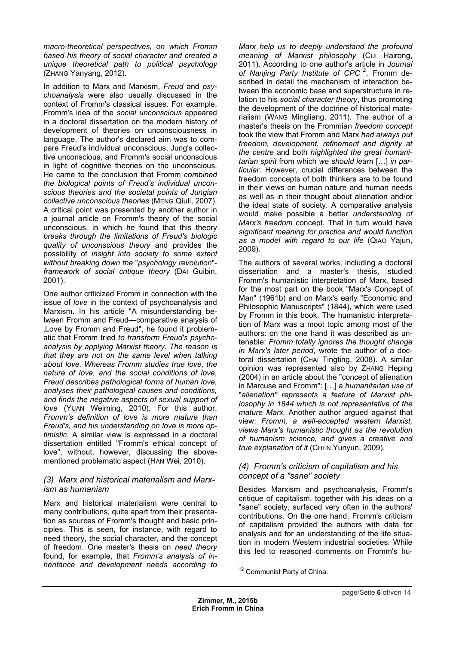*macro-theoretical perspectives, on which Fromm based his theory of social character and created a unique theoretical path to political psychology* (ZHANG Yanyang, 2012).

In addition to Marx and Marxism, *Freud* and *psychoanalysis* were also usually discussed in the context of Fromm's classical issues. For example, Fromm's idea of the *social unconscious* appeared in a doctoral dissertation on the modern history of development of theories on unconsciousness in language. The author's declared aim was to compare Freud's individual unconscious, Jung's collective unconscious, and Fromm's social unconscious in light of cognitive theories on the unconscious. He came to the conclusion that Fromm *combined the biological points of Freud's individual unconscious theories and the societal points of Jungian collective unconscious theories* (MENG Qiuli, 2007). A critical point was presented by another author in a journal article on Fromm's theory of the social unconscious, in which he found that this theory *breaks through the limitations of Freud′s biologic quality of unconscious theory* and provides the possibility of *insight into society to some extent without breaking down the* "*psychology revolution*" *framework of social critique theory* (DAI Guibin, 2001).

One author criticized Fromm in connection with the issue of *love* in the context of psychoanalysis and Marxism. In his article "A misunderstanding between Fromm and Freud—comparative analysis of , Love by Fromm and Freud", he found it problematic that Fromm tried *to transform Freud's psychoanalysis by applying Marxist theory. The reason is that they are not on the same level when talking about love. Whereas Fromm studies true love, the nature of love, and the social conditions of love, Freud describes pathological forms of human love, analyses their pathological causes and conditions, and finds the negative aspects of sexual support of love* (YUAN Weiming, 2010). For this author, *Fromm's definition of love is more mature than Freud's, and his understanding on love is more optimistic.* A similar view is expressed in a doctoral dissertation entitled "Fromm's ethical concept of love", without, however, discussing the abovementioned problematic aspect (HAN Wei, 2010).

## *(3) Marx and historical materialism and Marxism as humanism*

<span id="page-5-0"></span>Marx and historical materialism were central to many contributions, quite apart from their presentation as sources of Fromm's thought and basic principles. This is seen, for instance, with regard to need theory, the social character, and the concept of freedom. One master's thesis on *need theory*  found, for example, that *Fromm's analysis of inheritance and development needs according to* 

*Marx help us to deeply understand the profound meaning of Marxist philosophy* (CUI Hairong, 2011). According to one author's article in *Journal of Nanjing Party Institute of CPC*<sup>12</sup>*,* Fromm described in detail the mechanism of interaction between the economic base and superstructure in relation to his *social character theory*, thus promoting the development of the doctrine of [his](#page-5-0)torical materialism (WANG Mingliang, 2011). The author of a master's thesis on the Frommian *freedom concept*  took the view that Fromm and Marx *had always put freedom, development, refinement and dignity at the centre* and both *highlighted the great humanitarian spirit* from which *we should learn* […] *in particular*. However, crucial differences between the freedom concepts of both thinkers are to be found in their views on human nature and human needs as well as in their thought about alienation and/or the ideal state of society. A comparative analysis would make possible a better *understanding of Marx's freedom* concept. That in turn would have *significant meaning for practice and would function as a model with regard to our life* (QIAO Yajun, 2009).

The authors of several works, including a doctoral dissertation and a master's thesis, studied Fromm's humanistic interpretation of Marx, based for the most part on the book "Marx's Concept of Man" (1961b) and on Marx's early "Economic and Philosophic Manuscripts" (1844), which were used by Fromm in this book. The humanistic interpretation of Marx was a moot topic among most of the authors: on the one hand it was described as untenable: *Fromm totally ignores the thought change in Marx's later period*, wrote the author of a doctoral dissertation (CHAI Tingting, 2008). A similar opinion was represented also by ZHANG Heping (2004) in an article about the "concept of alienation in Marcuse and Fromm": […] a *humanitarian use of*  "*alienation" represents a feature of Marxist philosophy in 1844 which is not representative of the mature Marx.* Another author argued against that view: *Fromm, a well-accepted western Marxist, views Marx's humanistic thought as the revolution of humanism science, and gives a creative and true explanation of it* (CHEN Yunyun, 2009).

## *(4) Fromm's criticism of capitalism and his concept of a "sane" society*

Besides Marxism and psychoanalysis, Fromm's critique of capitalism, together with his ideas on a "sane" society, surfaced very often in the authors' contributions. On the one hand, Fromm's criticism of capitalism provided the authors with data for analysis and for an understanding of the life situation in modern Western industrial societies. While this led to reasoned comments on Fromm's hu-

 12 Communist Party of China.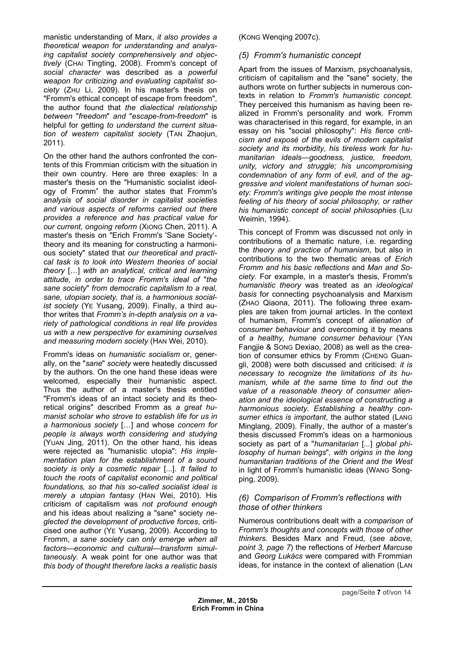manistic understanding of Marx, *it also provides a theoretical weapon for understanding and analysing capitalist society comprehensively and objectively* (CHAI Tingting, 2008). Fromm's concept of *social character* was described as a *powerful weapon for criticizing and evaluating capitalist society* (ZHU Li, 2009). In his master's thesis on "Fromm's ethical concept of escape from freedom", the author found that *the dialectical relationship between* "*freedom*" *and* "*escape-from-freedom*" is helpful for getting *to understand the current situation of western capitalist society* (TAN Zhaojun, 2011)*.* 

On the other hand the authors confronted the contents of this Frommian criticism with the situation in their own country. Here are three exaples: In a master's thesis on the "Humanistic socialist ideology of Fromm" the author states that Fromm's *analysis of social disorder in capitalist societies and various aspects of reforms carried out there provides a reference and has practical value for our current, ongoing reform* (XIONG Chen, 2011). A master's thesis on "Erich Fromm's 'Sane Society' theory and its meaning for constructing a harmonious society" stated that *our theoretical and practical task is to look into Western theories of social theory* […] *with an analytical, critical and learning attitude, in order to trace Fromm's ideal of* "*the sane society*" *from democratic capitalism to a real, sane, utopian society, that is, a harmonious socialist society* (YE Yusang, 2009). Finally, a third author writes that *Fromm's in-depth analysis on a variety of pathological conditions in real life provides us with a new perspective for examining ourselves and measuring modern society* (HAN Wei, 2010).

Fromm's ideas on *humanistic socialism* or, generally, on the "*sane*" *society* were heatedly discussed by the authors. On the one hand these ideas were welcomed, especially their humanistic aspect. Thus the author of a master's thesis entitled "Fromm's ideas of an intact society and its theoretical origins" described Fromm as *a great humanist scholar who strove to establish life for us in a harmonious society* […] and whose *concern for people is always worth considering and studying* (YUAN Jing, 2011). On the other hand, his ideas were rejected as "humanistic utopia": *His implementation plan for the establishment of a sound society is only a cosmetic repair* [...]. *It failed to touch the roots of capitalist economic and political foundations, so that his so-called socialist ideal is merely a utopian fantasy* (HAN Wei, 2010). His criticism of capitalism was *not profound enough* and his ideas about realizing a "sane" society *neglected the development of productive forces*, criticised one author (YE Yusang, 2009). According to Fromm, *a sane society can only emerge when all factors—economic and cultural—transform simultaneously.* A weak point for one author was that *this body of thought therefore lacks a realistic basis*

(KONG Wenqing 2007c).

## *(5) Fromm's humanistic concept*

Apart from the issues of Marxism, psychoanalysis, criticism of capitalism and the "sane" society, the authors wrote on further subjects in numerous contexts in relation to *Fromm's humanistic concept.*  They perceived this humanism as having been realized in Fromm's personality and work. Fromm was characterised in this regard, for example, in an essay on his "social philosophy": *His fierce criticism and exposé of the evils of modern capitalist society and its morbidity, his tireless work for humanitarian ideals—goodness, justice, freedom, unity, victory and struggle; his uncompromising condemnation of any form of evil, and of the aggressive and violent manifestations of human society: Fromm's writings give people the most intense feeling of his theory of social philosophy, or rather his humanistic concept of social philosophies* (LIU Weimin, 1994).

This concept of Fromm was discussed not only in contributions of a thematic nature, i.e. regarding the *theory and practice of humanism*, but also in contributions to the two thematic areas of *Erich Fromm and his basic reflections* and *Man and Society.* For example*,* in a master's thesis, Fromm's *humanistic theory* was treated as an *ideological basis* for connecting psychoanalysis and Marxism (ZHAO Qiaona, 2011). The following three examples are taken from journal articles. In the context of humanism, Fromm's concept of *alienation of consumer behaviour* and overcoming it by means of *a healthy, humane consumer behaviour* (YAN Fangjie & SONG Dexiao, 2008) as well as the creation of consumer ethics by Fromm (CHENG Guangli, 2008) were both discussed and criticised: *it is necessary to recognize the limitations of its humanism, while at the same time to find out the value of a reasonable theory of consumer alienation and the ideological essence of constructing a harmonious society. Establishing a healthy consumer ethics is important*, the author stated (LANG Minglang, 2009). Finally, the author of a master's thesis discussed Fromm's ideas on a harmonious society as part of a "*humanitarian* [*...*] *global philosophy of human beings*"*, with origins in the long humanitarian traditions of the Orient and the West* in light of Fromm's humanistic ideas (WANG Songping, 2009).

## *(6) Comparison of Fromm's reflections with those of other thinkers*

Numerous contributions dealt with a *comparison of Fromm's thoughts and concepts with those of other thinkers.* Besides Marx and Freud, (*see above, point 3, page 7*) the reflections of *Herbert Marcuse* and *Georg Lukács* were compared with Frommian ideas, for instance in the context of alienation (LAN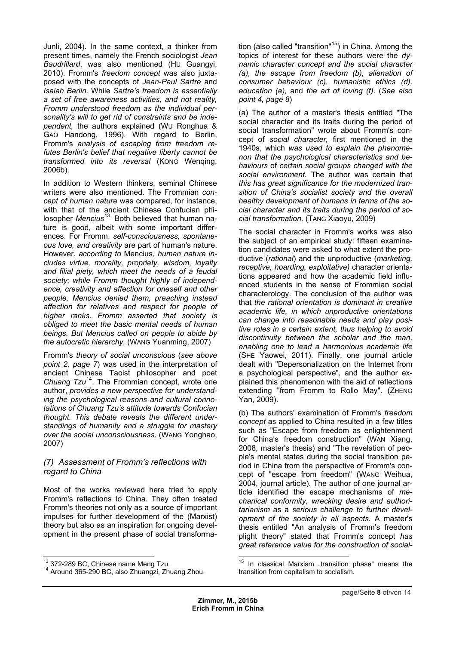Junli, 2004). In the same context, a thinker from present times, namely the French sociologist *Jean Baudrillard*, was also mentioned (HU Guangyi, 2010). Fromm's *freedom concept* was also juxtaposed with the concepts of *Jean-Paul Sartre* and *Isaiah Berlin.* While *Sartre's freedom is essentially a set of free awareness activities, and not reality, Fromm understood freedom as the individual personality's will to get rid of constraints and be independent,* the authors explained (WU Ronghua & GAO Handong, 1996). With regard to Berlin, Fromm's *analysis of escaping from freedom refutes Berlin's belief that negative liberty cannot be transformed into its reversal* (KONG Wenqing, 2006b).

In addition to Western thinkers, seminal Chinese writers were also mentioned. The Frommian *concept of human nature* was compared, for instance, with that of the ancient Chinese Confucian philosopher Mencius<sup>13.</sup> Both believed that human nature is good, albeit with some important differences. For Fromm, *self-consciousness, spontaneous love, and creativity* are part of human's nature. However, *accordi[ng](#page-7-0) to* Mencius*, human nature includes virtue, morality, propriety, wisdom, loyalty and filial piety, which meet the needs of a feudal society: while Fromm thought highly of independence, creativity and affection for oneself and other people, Mencius denied them, preaching instead affection for relatives and respect for people of higher ranks. Fromm asserted that society is obliged to meet the basic mental needs of human beings. But Mencius called on people to abide by the autocratic hierarchy.* (WANG Yuanming, 2007)

Fromm's *theory of social unconscious* (*see above point 2, page 7*) was used in the interpretation of ancient Chinese Taoist philosopher and poet *Chuang Tzu*<sup>14</sup>*.* The Frommian concept, wrote one author, *provides a new perspective for understanding the psychological reasons and cultural connotations of Chuang Tzu's attitude towards Confucian thought. Thi[s](#page-7-1) debate reveals the different understandings of humanity and a struggle for mastery over the social unconsciousness.* (WANG Yonghao, 2007)

## *(7) Assessment of Fromm's reflections with regard to China*

Most of the works reviewed here tried to apply Fromm's reflections to China. They often treated Fromm's theories not only as a source of important impulses for further development of the (Marxist) theory but also as an inspiration for ongoing development in the present phase of social transforma-

<sup>13</sup> 372-289 BC, Chinese name Meng Tzu.

tion (also called "transition"<sup>15</sup>) in China. Among the topics of interest for these authors were the *dynamic character concept and the social character (a), the escape from freedom (b), alienation of consumer behaviour (c), [h](#page-7-0)umanistic ethics (d), education (e),* and *the art of loving (f)*. (*See also point 4, page 8*)

(a) The author of a master's thesis entitled "The social character and its traits during the period of social transformation" wrote about Fromm's concept of *social character,* first mentioned in the 1940s, which *was used to explain the phenomenon that the psychological characteristics and behaviours* of *certain social groups changed with the social environment*. The author was certain that *this has great significance for the modernized transition of China's socialist society and the overall healthy development of humans in terms of the social character and its traits during the period of social transformation.* (TANG Xiaoyu, 2009)

The social character in Fromm's works was also the subject of an empirical study: fifteen examination candidates were asked to what extent the productive (*rational*) and the unproductive (*marketing, receptive, hoarding, exploitative)* character orientations appeared and how the academic field influenced students in the sense of Frommian social characterology. The conclusion of the author was that *the rational orientation is dominant in creative academic life, in which unproductive orientations can change into reasonable needs and play positive roles in a certain extent, thus helping to avoid discontinuity between the scholar and the man, enabling one to lead a harmonious academic life* (SHE Yaowei, 2011). Finally, one journal article dealt with "Depersonalization on the Internet from a psychological perspective"*,* and the author explained this phenomenon with the aid of reflections extending "from Fromm to Rollo May". (ZHENG Yan, 2009).

(b) The authors' examination of Fromm's *freedom concept* as applied to China resulted in a few titles such as "Escape from freedom as enlightenment for China's freedom construction" (WAN Xiang, 2008, master's thesis) and "The revelation of people's mental states during the social transition period in China from the perspective of Fromm's concept of "escape from freedom" (WANG Weihua, 2004, journal article). The author of one journal article identified the escape mechanisms of *mechanical conformity, wrecking desire and authoritarianism* as a *serious challenge to further development of the society in all aspects*. A master's thesis entitled "An analysis of Fromm's freedom plight theory" stated that Fromm's concept *has great reference value for the construction of social-*

<span id="page-7-1"></span><span id="page-7-0"></span><sup>&</sup>lt;sup>14</sup> Around 365-290 BC, also Zhuangzi, Zhuang Zhou.

 $\overline{a}$  $15$  In classical Marxism "transition phase" means the transition from capitalism to socialism.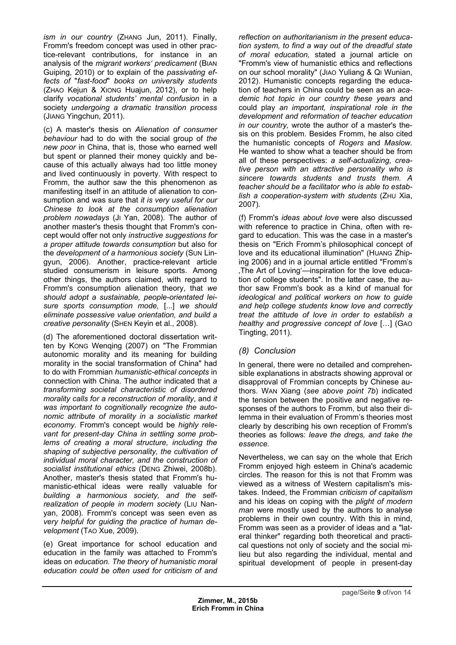*ism in our country* (ZHANG Jun, 2011). Finally, Fromm's freedom concept was used in other practice-relevant contributions, for instance in an analysis of the *migrant workers' predicament* (BIAN Guiping, 2010) or to explain of the *passivating effects of* "*fast-food*" *books on university students*  (ZHAO Kejun & XIONG Huajun, 2012), or to help clarify *vocational students' mental confusion* in a society *undergoing a dramatic transition process* (JIANG Yingchun, 2011).

(c) A master's thesis on *Alienation of consumer behaviour* had to do with the social group of *the new poor* in China, that is, those who earned well but spent or planned their money quickly and because of this actually always had too little money and lived continuously in poverty. With respect to Fromm, the author saw the this phenomenon as manifesting itself in an attitude of alienation to consumption and was sure that *it is very useful for our Chinese to look at the consumption alienation problem nowadays* (JI Yan, 2008). The author of another master's thesis thought that Fromm's concept would offer not only *instructive suggestions for a proper attitude towards consumption* but also for the *development of a harmonious society* (SUN Lingyun, 2006). Another, practice-relevant article studied consumerism in leisure sports. Among other things, the authors claimed, with regard to Fromm's consumption alienation theory, that *we should adopt a sustainable, people-orientated leisure sports consumption mode,* [...] *we should eliminate possessive value orientation, and build a creative personality* (SHEN Keyin et al., 2008).

(d) The aforementioned doctoral dissertation written by KONG Wenqing (2007) on "The Frommian autonomic morality and its meaning for building morality in the social transformation of China" had to do with Frommian *humanistic-ethical concepts* in connection with China. The author indicated that *a transforming societal characteristic of disordered morality calls for a reconstruction of morality*, and *it was important to cognitionally recognize the autonomic attribute of morality in a socialistic market economy.* Fromm's concept would be *highly relevant for present-day China in settling some problems of creating a moral structure, including the shaping of subjective personality, the cultivation of individual moral character, and the construction of socialist institutional ethics* (DENG Zhiwei, 2008b). Another, master's thesis stated that Fromm's humanistic-ethical ideas were really valuable for *building a harmonious society, and the selfrealization of people in modern society* (LIU Nanyan, 2008). Fromm's concept was seen even as *very helpful for guiding the practice of human development* (TAO Xue, 2009).

(e) Great importance for school education and education in the family was attached to Fromm's ideas on *education. The theory of humanistic moral education could be often used for criticism of and*  *reflection on authoritarianism in the present education system, to find a way out of the dreadful state of moral education,* stated a journal article on "Fromm's view of humanistic ethics and reflections on our school morality" (JIAO Yuliang & QI Wunian, 2012). Humanistic concepts regarding the education of teachers in China could be seen as an *academic hot topic in our country these years* and could play *an important, inspirational role in the development and reformation of teacher education in our country,* wrote the author of a master's thesis on this problem. Besides Fromm, he also cited the humanistic concepts of *Rogers* and *Maslow.* He wanted to show what a teacher should be from all of these perspectives: *a self-actualizing, creative person with an attractive personality who is sincere towards students and trusts them*. *A teacher should be a facilitator who is able to establish a cooperation-system with students* (ZHU Xia, 2007)*.* 

(f) Fromm's *ideas about love* were also discussed with reference to practice in China, often with regard to education. This was the case in a master's thesis on "Erich Fromm's philosophical concept of love and its educational illumination" (HUANG Zhiping 2006) and in a journal article entitled "Fromm's 'The Art of Loving'—inspiration for the love education of college students". In the latter case, the author saw Fromm's book as a kind of manual for *ideological and political workers on how to guide and help college students know love and correctly treat the attitude of love in order to establish a healthy and progressive concept of love* […] (GAO Tingting, 2011).

# *(8) Conclusion*

In general, there were no detailed and comprehensible explanations in abstracts showing approval or disapproval of Frommian concepts by Chinese authors. WAN Xiang (*see above point 7b*) indicated the tension between the positive and negative responses of the authors to Fromm, but also their dilemma in their evaluation of Fromm's theories most clearly by describing his own reception of Fromm's theories as follows: *leave the dregs, and take the essence*.

Nevertheless, we can say on the whole that Erich Fromm enjoyed high esteem in China's academic circles. The reason for this is not that Fromm was viewed as a witness of Western capitalism's mistakes. Indeed, the Frommian *criticism of capitalism*  and his ideas on coping with the *plight of modern man* were mostly used by the authors to analyse problems in their own country. With this in mind, Fromm was seen as a provider of ideas and a "lateral thinker" regarding both theoretical and practical questions not only of society and the social milieu but also regarding the individual, mental and spiritual development of people in present-day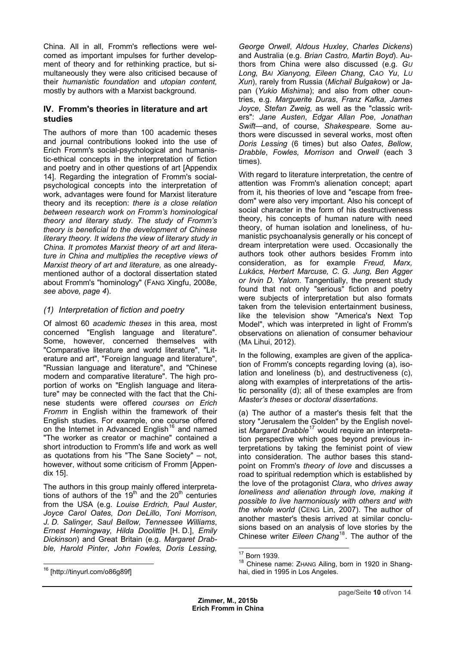China. All in all, Fromm's reflections were welcomed as important impulses for further development of theory and for rethinking practice, but simultaneously they were also criticised because of their *humanistic foundation* and *utopian content,*  mostly by authors with a Marxist background*.* 

## **IV. Fromm's theories in literature and art studies**

The authors of more than 100 academic theses and journal contributions looked into the use of Erich Fromm's social-psychological and humanistic-ethical concepts in the interpretation of fiction and poetry and in other questions of art [Appendix 14]. Regarding the integration of Fromm's socialpsychological concepts into the interpretation of work, advantages were found for Marxist literature theory and its reception: *there is a close relation between research work on Fromm's hominological theory and literary study. The study of Fromm's theory is beneficial to the development of Chinese literary theory. It widens the view of literary study in China. It promotes Marxist theory of art and literature in China and multiplies the receptive views of Marxist theory of art and literature,* as one alreadymentioned author of a doctoral dissertation stated about Fromm's "hominology" (FANG Xingfu, 2008e, *see above, page 4*).

# *(1) Interpretation of fiction and poetry*

Of almost 60 *academic theses* in this area, most concerned "English language and literature". Some, however, concerned themselves with "Comparative literature and world literature", "Literature and art", "Foreign language and literature", "Russian language and literature", and "Chinese modern and comparative literature". The high proportion of works on "English language and literature" may be connected with the fact that the Chinese students were offered *courses on Erich Fromm* in English within the framework of their English studies. For example, one course offered on the Internet in Advanced English<sup>16</sup> and named "The worker as creator or machine" contained a short introduction to Fromm's life and work as well as quotations from his "The Sane Society" - not, however, without some criticism of F[ro](#page-9-0)mm [Appendix 15].

<span id="page-9-2"></span><span id="page-9-1"></span><span id="page-9-0"></span>The authors in this group mainly offered interpretations of authors of the  $19<sup>th</sup>$  and the  $20<sup>th</sup>$  centuries from the USA (e.g. *Louise Erdrich, Paul Auster*, *Joyce Carol Oates, Don DeLillo*, *Toni Morrison, J. D. Salinger, Saul Bellow, Tennessee Williams*, *Ernest Hemingway, Hilda Doolittle* [H. D.], *Emily Dickinson*) and Great Britain (e.g. *Margaret Drabble, Harold Pinter*, *John Fowles, Doris Lessing,* 

*George Orwell*, *Aldous Huxley*, *Charles Dickens*) and Australia (e.g. *Brian Castro, Martin Boyd*). Authors from China were also discussed (e.g. *GU Long, BAI Xianyong, Eileen Chang*, *CAO Yu*, *LU Xun*), rarely from Russia (*Michail Bulgakow*) or Japan (*Yukio Mishima*); and also from other countries, e.g. *Marguerite Duras*, *Franz Kafka, James Joyce, Stefan Zweig,* as well as the "classic writers": *Jane Austen*, *Edgar Allan Poe*, *Jonathan Swift*—and, of course, *Shakespeare*. Some authors were discussed in several works, most often *Doris Lessing* (6 times) but also *Oates*, *Bellow*, *Drabble*, *Fowles, Morrison* and *Orwell* (each 3 times).

With regard to literature interpretation, the centre of attention was Fromm's alienation concept; apart from it, his theories of love and "escape from freedom" were also very important. Also his concept of social character in the form of his destructiveness theory, his concepts of human nature with need theory, of human isolation and loneliness, of humanistic psychoanalysis generally or his concept of dream interpretation were used. Occasionally the authors took other authors besides Fromm into consideration, as for example *Freud, Marx, Lukács, Herbert Marcuse, C. G. Jung, Ben Agger or Irvin D. Yalom*. Tangentially, the present study found that not only "serious" fiction and poetry were subjects of interpretation but also formats taken from the television entertainment business, like the television show "America's Next Top Model", which was interpreted in light of Fromm's observations on alienation of consumer behaviour (MA Lihui, 2012).

In the following, examples are given of the application of Fromm's concepts regarding loving (a), isolation and loneliness (b), and destructiveness (c), along with examples of interpretations of the artistic personality (d); all of these examples are from *Master's theses* or *doctoral dissertations*.

(a) The author of a master's thesis felt that the story "Jerusalem the Golden" by the English novelist Margaret Drabble<sup>17</sup> would require an interpretation perspective which goes beyond previous interpretations by taking the feminist point of view into consideration. The author bases this standpoint on Fromm's *t[heo](#page-9-1)ry of love* and discusses a road to spiritual redemption which is established by the love of the protagonist *Clara*, who *drives away loneliness and alienation through love, making it possible to live harmoniously with others and with the whole world* (CENG Lin, 2007). The author of another master's thesis arrived at similar conclusions based on an analysis of love stories by the Chinese writer *Eileen Chang*18. The author of the

<sup>&</sup>lt;sup>17</sup> Born 1939.

<sup>&</sup>lt;sup>18</sup> Chinese name: ZHANG Ailing, born in 1920 in Shanghai, died in 1995 in Los Angeles.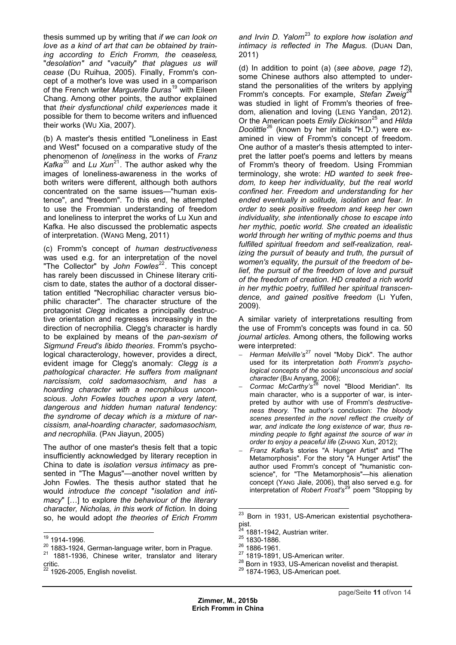thesis summed up by writing that *if we can look on love as a kind of art that can be obtained by train*ing according to Erich Fromm, the ceaseless, "*desolation" and* "*vacuity*" *that plagues us will cease* (DU Ruihua, 2005). Finally, Fromm's concept of a mother's love was used in a comparison of the French writer *Marguerite Duras*19 with Eileen Chang. Among other points, the author explained that *their dysfunctional child experiences* made it possible for them to become writers and influenced their works (WU Xia, 2007).

(b) A master's thesis entitled "Loneliness in East and West" focused on a comparative study of the phenomenon of *loneliness* in the works of *Franz Kafka*<sup>20</sup> and *Lu Xun*21. The author asked why the images of loneliness-awareness in the works of both writers were different, although both authors concentrated on the same issues—"human existence[",](#page-10-0) and "freedo[m"](#page-10-1). To this end, he attempted to use the Frommian understanding of freedom and loneliness to interpret the works of Lu Xun and Kafka. He also discussed the problematic aspects of interpretation. (WANG Meng, 2011)

(c) Fromm's concept of *human destructiveness* was used e.g. for an interpretation of the novel "The Collector" by *John Fowles*<sup>22</sup>. This concept has rarely been discussed in Chinese literary criticism to date, states the author of a doctoral dissertation entitled "Necrophiliac character versus biophilic character". The character [s](#page-10-2)tructure of the protagonist *Clegg* indicates a principally destructive orientation and regresses increasingly in the direction of necrophilia. Clegg's character is hardly to be explained by means of the *pan-sexism of Sigmund Freud's libido theories*. Fromm's psychological characterology, however, provides a direct, evident image for Clegg's anomaly: *Clegg is a pathological character. He suffers from malignant narcissism, cold sadomasochism, and has a hoarding character with a necrophilous unconscious*. *John Fowles touches upon a very latent, dangerous and hidden human natural tendency: the syndrome of decay which is a mixture of narcissism, anal-hoarding character, sadomasochism, and necrophilia.* (PAN Jiayun, 2005)

The author of one master's thesis felt that a topic insufficiently acknowledged by literary reception in China to date is *isolation versus intimacy* as presented in "The Magus"—another novel written by John Fowles. The thesis author stated that he would *introduce the concept* "*isolation and intimacy*" […] to explore *the behaviour of the literary character, Nicholas, in this work of fiction.* In doing so, he would adopt *the theories of Erich Fromm* 

*and Irvin D. Yalom*<sup>23</sup> *to explore how isolation and intimacy is reflected in The Magus.* (DUAN Dan, 2011)

(d) In addition to [poi](#page-10-3)nt (a) (*see above, page 12*), some Chinese authors also attempted to understand the personalities of the writers by applying Fromm's concepts. For example, *Stefan Zweig*<sup>24</sup> was studied in light of Fromm's theories of freedom, alienation and loving (LENG Yandan, 2012). Or the American poets *Emily Dickinson*<sup>25</sup> and *Hilda Doolittle*<sup>26</sup> (known by her initials "H.D.") were e[x](#page-10-4)amined in view of Fromm's concept of freedom. One author of a master's thesis attempted to interpret the latter poet's poems and letter[s](#page-10-5) by means of Fro[mm](#page-10-0)'s theory of freedom. Using Frommian terminology, she wrote: *HD wanted to seek freedom, to keep her individuality, but the real world confined her. Freedom and understanding for her ended eventually in solitude, isolation and fear. In order to seek positive freedom and keep her own individuality, she intentionally chose to escape into her mythic, poetic world. She created an idealistic world through her writing of mythic poems and thus fulfilled spiritual freedom and self-realization, realizing the pursuit of beauty and truth, the pursuit of women's equality, the pursuit of the freedom of belief, the pursuit of the freedom of love and pursuit of the freedom of creation. HD created a rich world in her mythic poetry, fulfilled her spiritual transcendence, and gained positive freedom* (LI Yufen, 2009).

A similar variety of interpretations resulting from the use of Fromm's concepts was found in ca. 50 *journal articles.* Among others, the following works were interpreted:

- *Herman Melville's*<sup>27</sup> novel "Moby Dick". The author used for its interpretation *both Fromm's psychological concepts of the social unconscious and social character* (BAI Anyang, 2006);
- Cormac McCarth[y's](#page-10-1)<sup>28</sup> novel "Blood Meridian". Its main character, who is a supporter of war, is interpreted by author with use of Fromm's *destructiveness theory.* The author's conclusion: *The bloody scenes presented i[n t](#page-10-6)he novel reflect the cruelty of war, and indicate the long existence of war, thus reminding people to fight against the source of war in order to enjoy a peaceful life* (ZHANG Xun, 2012);

 *Franz Kafka'*s stories "A Hunger Artist" and "The Metamorphosis". For the story "A Hunger Artist" the author used Fromm's concept of "humanistic conscience", for "The Metamorphosis"—his alienation concept (YANG Jiale, 2006), that also served e.g. for interpretation of *Robert Frost's*<sup>29</sup> poem "Stopping by

<sup>&</sup>lt;sup>19</sup> 1914-1996.

<span id="page-10-3"></span> $^{20}$  1883-1924, German-language writer, born in Prague.<br> $^{21}$  1881-1936, Chinese writer, translator and literary critic.

<span id="page-10-6"></span><span id="page-10-5"></span><span id="page-10-4"></span><span id="page-10-2"></span><span id="page-10-1"></span><span id="page-10-0"></span> $22$  1926-2005, English novelist.

 <sup>23</sup> Born in 1931, US-American existential psychotherapist.

<sup>&</sup>lt;sup>24</sup> 1881-1942, Austrian writer.<br><sup>25</sup> 1830-1886.<br><sup>26</sup> 1886-1961.<br><sup>27</sup> 1819-1891, US-American writer.<br><sup>28</sup> Born in 1933, US-American novelist and therapist.<br><sup>29</sup> 1874-1963, US-American poet.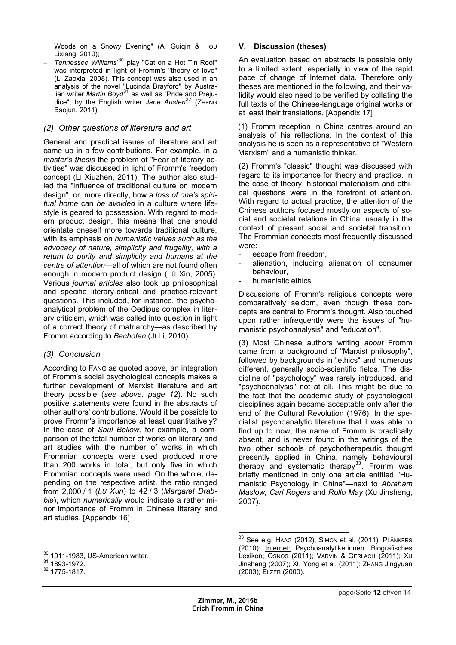Woods on a Snowy Evening" (AI Guiqin & HOU Lixiang, 2010);

 *Tennessee Williams*' 30 play "Cat on a Hot Tin Roof" was interpreted in light of Fromm's "theory of love" (LI Zaoxia, 2008). This concept was also used in an analysis of the novel "Lucinda Brayford" by Australian writer *Martin Bo[yd](#page-11-0)*<sup>31</sup> as well as "Pride and Prejudice", by the English writer *Jane Austen*<sup>32</sup> (ZHENG Baojun, 2011).

## *(2) Other questions [of](#page-11-1) literature and art*

General and practical issues of literatur[e](#page-11-2) and art came up in a few contributions. For example, in a *master's thesis* the problem of "Fear of literary activities" was discussed in light of Fromm's freedom concept (LI Xiuzhen, 2011). The author also studied the "influence of traditional culture on modern design", or, more directly, how a *loss of one's spiritual home* can *be avoided* in a culture where lifestyle is geared to possession. With regard to modern product design, this means that one should orientate oneself more towards traditional culture, with its emphasis on *humanistic values such as the advocacy of nature, simplicity and frugality, with a return to purity and simplicity and humans at the centre of attention*—all of which are not found often enough in modern product design (LÜ Xin, 2005). Various *journal articles* also took up philosophical and specific literary-critical and practice-relevant questions. This included, for instance, the psychoanalytical problem of the Oedipus complex in literary criticism, which was called into question in light of a correct theory of matriarchy—as described by Fromm according to *Bachofen* (JI Li, 2010).

## *(3) Conclusion*

According to FANG as quoted above, an integration of Fromm's social psychological concepts makes a further development of Marxist literature and art theory possible (*see above, page 12*). No such positive statements were found in the abstracts of other authors' contributions. Would it be possible to prove Fromm's importance at least quantitatively? In the case of *Saul Bellow,* for example, a comparison of the total number of works on literary and art studies with the number of works in which Frommian concepts were used produced more than 200 works in total, but only five in which Frommian concepts were used. On the whole, depending on the respective artist, the ratio ranged from 2,000 / 1 (*LU Xun*) to 42 / 3 (*Margaret Drabble*), which *numerically* would indicate a rather minor importance of Fromm in Chinese literary and art studies. [Appendix 16]

## **V. Discussion (theses)**

An evaluation based on abstracts is possible only to a limited extent, especially in view of the rapid pace of change of Internet data. Therefore only theses are mentioned in the following, and their validity would also need to be verified by collating the full texts of the Chinese-language original works or at least their translations. [Appendix 17]

(1) Fromm reception in China centres around an analysis of his reflections. In the context of this analysis he is seen as a representative of "Western Marxism" and a humanistic thinker.

(2) Fromm's "classic" thought was discussed with regard to its importance for theory and practice. In the case of theory, historical materialism and ethical questions were in the forefront of attention. With regard to actual practice, the attention of the Chinese authors focused mostly on aspects of social and societal relations in China, usually in the context of present social and societal transition. The Frommian concepts most frequently discussed were:

- escape from freedom,
- alienation, including alienation of consumer behaviour,
- humanistic ethics.

Discussions of Fromm's religious concepts were comparatively seldom, even though these concepts are central to Fromm's thought. Also touched upon rather infrequently were the issues of "humanistic psychoanalysis" and "education".

(3) Most Chinese authors writing *about* Fromm came from a background of "Marxist philosophy", followed by backgrounds in "ethics" and numerous different, generally socio-scientific fields. The discipline of "psychology" was rarely introduced, and "psychoanalysis" not at all. This might be due to the fact that the academic study of psychological disciplines again became acceptable only after the end of the Cultural Revolution (1976). In the specialist psychoanalytic literature that I was able to find up to now, the name of Fromm is practically absent, and is never found in the writings of the two other schools of psychotherapeutic thought presently applied in China, namely behavioural therapy and systematic therapy<sup>33</sup>. Fromm was briefly mentioned in only one article entitled "Humanistic Psychology in China"—next to *Abraham Maslow, Carl Rogers* and *Rollo May* (XU Jinsheng, 2007).

 <sup>30</sup> 1911-1983, US-American writer.<br><sup>31</sup> 1893-1972.<br><sup>32</sup> 1775-1817.

<span id="page-11-2"></span><span id="page-11-1"></span><span id="page-11-0"></span>

 $\overline{a}$  $^{33}$  See e.g. Haag (2012); Simon et al. (2011); PLänkers (2010); Internet: Psychoanalytikerinnen*.* Biografisches Lexikon; OSNOS (2011); VARVIN & GERLACH (2011); XU Jinsheng (2007); XU Yong et al. (2011); ZHANG Jingyuan (2003); ELZER (2000).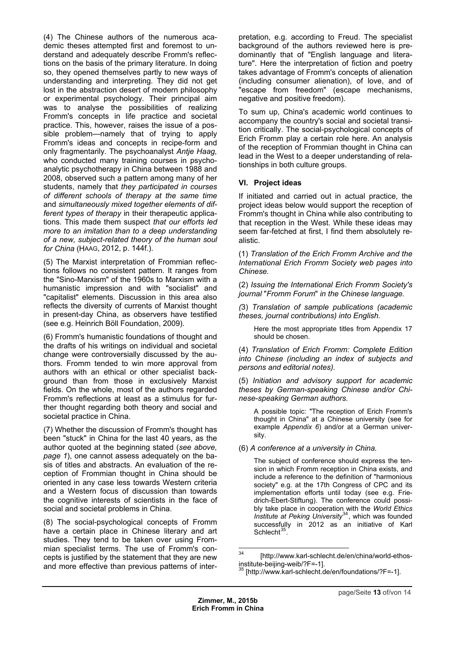$(4)$  The Chinese authors of the numerous demic theses attempted first and foremost to understand and adequately describe Fromm's reflections on the basis of the primary literature. In doing so, they opened themselves partly to new ways of understanding and interpreting. They did not get lost in the abstraction desert of modern philosophy or experimental psychology. Their principal aim was to analyse the possibilities of realizing Fromm's concepts in life practice and societal practice. This, however, raises the issue of a possible problem—namely that of trying to apply Fromm's ideas and concepts in recipe-form and only fragmentarily. The psychoanalyst *Antje Haag,*  who conducted many training courses in psychoanalytic psychotherapy in China between 1988 and 2008, observed such a pattern among many of her students, namely that *they participated in courses of different schools of therapy at the same time* and *simultaneously mixed together elements of different types of therapy* in their therapeutic applications. This made them suspect *that our efforts led more to an imitation than to a deep understanding of a new, subject-related theory of the human soul for China* (HAAG, 2012, p. 144f.).

(5) The Marxist interpretation of Frommian reflections follows no consistent pattern. It ranges from the "Sino-Marxism" of the 1960s to Marxism with a humanistic impression and with "socialist" and "capitalist" elements. Discussion in this area also reflects the diversity of currents of Marxist thought in present-day China, as observers have testified (see e.g. Heinrich Böll Foundation, 2009).

(6) Fromm's humanistic foundations of thought and the drafts of his writings on individual and societal change were controversially discussed by the authors. Fromm tended to win more approval from authors with an ethical or other specialist background than from those in exclusively Marxist fields. On the whole, most of the authors regarded Fromm's reflections at least as a stimulus for further thought regarding both theory and social and societal practice in China.

(7) Whether the discussion of Fromm's thought has been "stuck" in China for the last 40 years, as the author quoted at the beginning stated (*see above, page 1*), one cannot assess adequately on the basis of titles and abstracts. An evaluation of the reception of Frommian thought in China should be oriented in any case less towards Western criteria and a Western focus of discussion than towards the cognitive interests of scientists in the face of social and societal problems in China.

<span id="page-12-1"></span><span id="page-12-0"></span>(8) The social-psychological concepts of Fromm have a certain place in Chinese literary and art studies. They tend to be taken over using Frommian specialist terms. The use of Fromm's concepts is justified by the statement that they are new and more effective than previous patterns of inter-

pretation, e.g. according to Freud. The specialist background of the authors reviewed here is predominantly that of "English language and literature". Here the interpretation of fiction and poetry takes advantage of Fromm's concepts of alienation (including consumer alienation), of love, and of "escape from freedom" (escape mechanisms, negative and positive freedom).

To sum up, China's academic world continues to accompany the country's social and societal transition critically. The social-psychological concepts of Erich Fromm play a certain role here. An analysis of the reception of Frommian thought in China can lead in the West to a deeper understanding of relationships in both culture groups.

## **VI. Project ideas**

If initiated and carried out in actual practice, the project ideas below would support the reception of Fromm's thought in China while also contributing to that reception in the West. While these ideas may seem far-fetched at first, I find them absolutely realistic.

(1) *Translation of the Erich Fromm Archive and the International Erich Fromm Society web pages into Chinese.* 

(2) *Issuing the International Erich Fromm Society's journal* "*Fromm Forum*" *in the Chinese language.* 

*(*3) *Translation of sample publications (academic theses, journal contributions) into English.*

Here the most appropriate titles from Appendix 17 should be chosen.

(4) *Translation of Erich Fromm: Complete Edition into Chinese (including an index of subjects and persons and editorial notes).*

(5) *Initiation and advisory support for academic theses by German-speaking Chinese and/or Chinese-speaking German authors.*

A possible topic: "The reception of Erich Fromm's thought in China" at a Chinese university (see for example *Appendix 6*) and/or at a German university.

(6) *A conference at a university in China.*

The subject of conference should express the tension in which Fromm reception in China exists, and include a reference to the definition of "harmonious society" e.g. at the 17th Congress of CPC and its implementation efforts until today (see e.g. Friedrich-Ebert-Stiftung). The conference could possibly take place in cooperation with the *World Ethics Institute at Peking University*34, which was founded successfully in 2012 as an initiative of Karl Schlecht<sup>35</sup>.

 $34$ [http://www.karl-schlecht.d[e/e](#page-12-0)n/china/world-ethosinstitute-beijing-weib/?F=-1].

<sup>[</sup>http://www[.ka](#page-12-1)rl-schlecht.de/en/foundations/?F=-1].